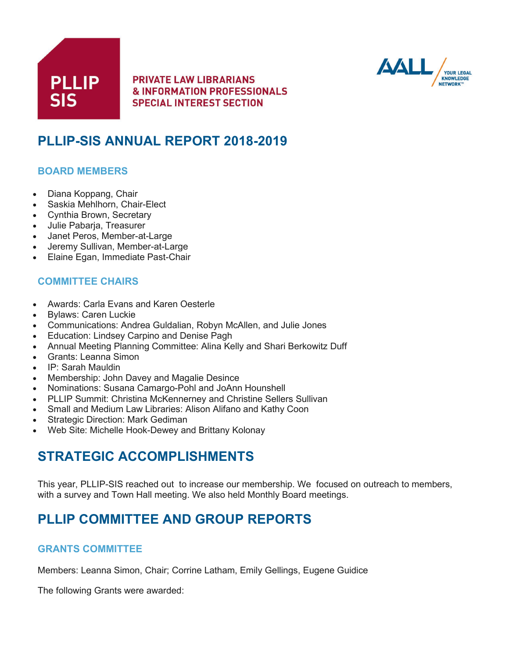



# **PLLIP-SIS ANNUAL REPORT 2018-2019**

# **BOARD MEMBERS**

- Diana Koppang, Chair
- Saskia Mehlhorn, Chair-Elect
- Cynthia Brown, Secretary
- Julie Pabarja, Treasurer
- Janet Peros, Member-at-Large
- Jeremy Sullivan, Member-at-Large
- Elaine Egan, Immediate Past-Chair

# **COMMITTEE CHAIRS**

- Awards: Carla Evans and Karen Oesterle
- Bylaws: Caren Luckie
- Communications: Andrea Guldalian, Robyn McAllen, and Julie Jones
- Education: Lindsey Carpino and Denise Pagh
- Annual Meeting Planning Committee: Alina Kelly and Shari Berkowitz Duff
- Grants: Leanna Simon
- IP: Sarah Mauldin
- Membership: John Davey and Magalie Desince
- Nominations: Susana Camargo-Pohl and JoAnn Hounshell
- PLLIP Summit: Christina McKennerney and Christine Sellers Sullivan
- Small and Medium Law Libraries: Alison Alifano and Kathy Coon
- **Strategic Direction: Mark Gediman**
- Web Site: Michelle Hook-Dewey and Brittany Kolonay

# **STRATEGIC ACCOMPLISHMENTS**

This year, PLLIP-SIS reached out to increase our membership. We focused on outreach to members, with a survey and Town Hall meeting. We also held Monthly Board meetings.

# **PLLIP COMMITTEE AND GROUP REPORTS**

## **GRANTS COMMITTEE**

Members: Leanna Simon, Chair; Corrine Latham, Emily Gellings, Eugene Guidice

The following Grants were awarded: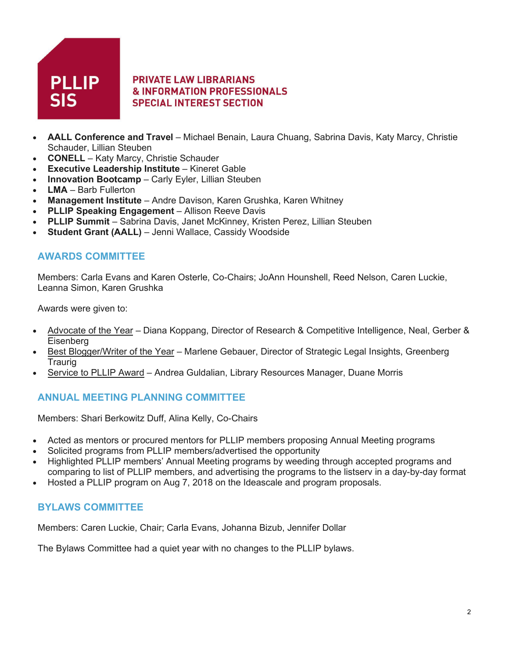

- **AALL Conference and Travel** Michael Benain, Laura Chuang, Sabrina Davis, Katy Marcy, Christie Schauder, Lillian Steuben
- **CONELL** Katy Marcy, Christie Schauder
- **Executive Leadership Institute** Kineret Gable
- **Innovation Bootcamp** Carly Eyler, Lillian Steuben
- **LMA** Barb Fullerton
- **Management Institute** Andre Davison, Karen Grushka, Karen Whitney
- **PLLIP Speaking Engagement** Allison Reeve Davis
- **PLLIP Summit** Sabrina Davis, Janet McKinney, Kristen Perez, Lillian Steuben
- **Student Grant (AALL)** Jenni Wallace, Cassidy Woodside

## **AWARDS COMMITTEE**

Members: Carla Evans and Karen Osterle, Co-Chairs; JoAnn Hounshell, Reed Nelson, Caren Luckie, Leanna Simon, Karen Grushka

Awards were given to:

- Advocate of the Year Diana Koppang, Director of Research & Competitive Intelligence, Neal, Gerber & Eisenberg
- Best Blogger/Writer of the Year Marlene Gebauer, Director of Strategic Legal Insights, Greenberg **Traurig**
- Service to PLLIP Award Andrea Guldalian, Library Resources Manager, Duane Morris

## **ANNUAL MEETING PLANNING COMMITTEE**

Members: Shari Berkowitz Duff, Alina Kelly, Co-Chairs

- Acted as mentors or procured mentors for PLLIP members proposing Annual Meeting programs
- Solicited programs from PLLIP members/advertised the opportunity
- Highlighted PLLIP members' Annual Meeting programs by weeding through accepted programs and comparing to list of PLLIP members, and advertising the programs to the listserv in a day-by-day format
- Hosted a PLLIP program on Aug 7, 2018 on the Ideascale and program proposals.

## **BYLAWS COMMITTEE**

Members: Caren Luckie, Chair; Carla Evans, Johanna Bizub, Jennifer Dollar

The Bylaws Committee had a quiet year with no changes to the PLLIP bylaws.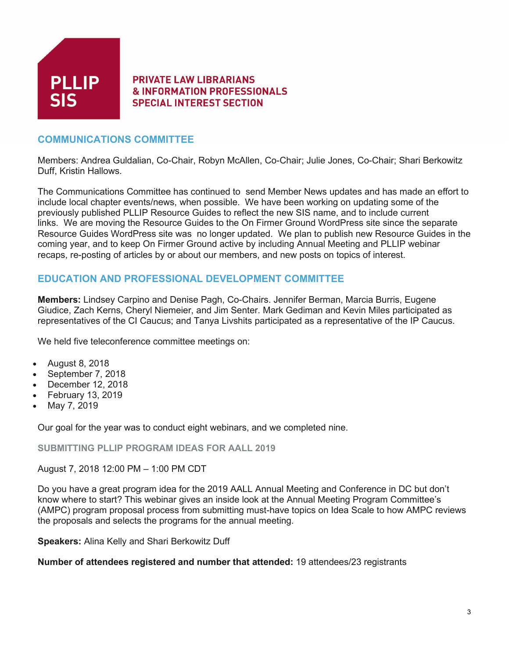

# **COMMUNICATIONS COMMITTEE**

Members: Andrea Guldalian, Co-Chair, Robyn McAllen, Co-Chair; Julie Jones, Co-Chair; Shari Berkowitz Duff, Kristin Hallows.

The Communications Committee has continued to send Member News updates and has made an effort to include local chapter events/news, when possible. We have been working on updating some of the previously published PLLIP Resource Guides to reflect the new SIS name, and to include current links. We are moving the Resource Guides to the On Firmer Ground WordPress site since the separate Resource Guides WordPress site was no longer updated. We plan to publish new Resource Guides in the coming year, and to keep On Firmer Ground active by including Annual Meeting and PLLIP webinar recaps, re-posting of articles by or about our members, and new posts on topics of interest.

# **EDUCATION AND PROFESSIONAL DEVELOPMENT COMMITTEE**

**Members:** Lindsey Carpino and Denise Pagh, Co-Chairs. Jennifer Berman, Marcia Burris, Eugene Giudice, Zach Kerns, Cheryl Niemeier, and Jim Senter. Mark Gediman and Kevin Miles participated as representatives of the CI Caucus; and Tanya Livshits participated as a representative of the IP Caucus.

We held five teleconference committee meetings on:

- August 8, 2018
- September 7, 2018
- December 12, 2018
- February 13, 2019
- May 7, 2019

Our goal for the year was to conduct eight webinars, and we completed nine.

**SUBMITTING PLLIP PROGRAM IDEAS FOR AALL 2019**

August 7, 2018 12:00 PM – 1:00 PM CDT

Do you have a great program idea for the 2019 AALL Annual Meeting and Conference in DC but don't know where to start? This webinar gives an inside look at the Annual Meeting Program Committee's (AMPC) program proposal process from submitting must-have topics on Idea Scale to how AMPC reviews the proposals and selects the programs for the annual meeting.

**Speakers:** Alina Kelly and Shari Berkowitz Duff

**Number of attendees registered and number that attended:** 19 attendees/23 registrants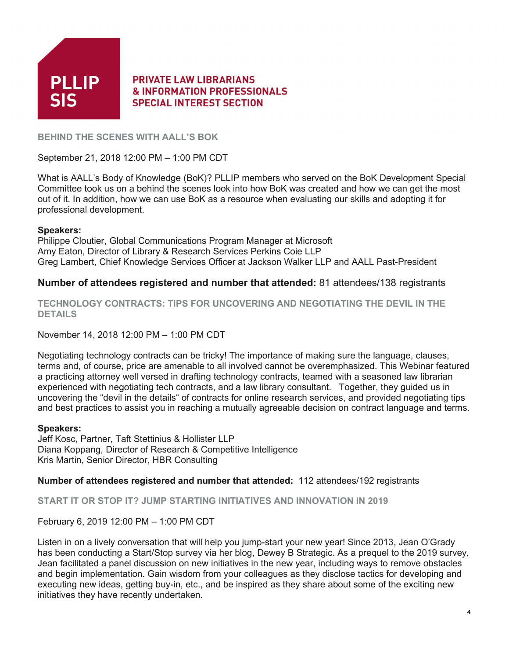

**BEHIND THE SCENES WITH AALL'S BOK**

September 21, 2018 12:00 PM – 1:00 PM CDT

What is AALL's Body of Knowledge (BoK)? PLLIP members who served on the BoK Development Special Committee took us on a behind the scenes look into how BoK was created and how we can get the most out of it. In addition, how we can use BoK as a resource when evaluating our skills and adopting it for professional development.

### **Speakers:**

Philippe Cloutier, Global Communications Program Manager at Microsoft Amy Eaton, Director of Library & Research Services Perkins Coie LLP Greg Lambert, Chief Knowledge Services Officer at Jackson Walker LLP and AALL Past-President

## **Number of attendees registered and number that attended:** 81 attendees/138 registrants

**TECHNOLOGY CONTRACTS: TIPS FOR UNCOVERING AND NEGOTIATING THE DEVIL IN THE DETAILS**

November 14, 2018 12:00 PM – 1:00 PM CDT

Negotiating technology contracts can be tricky! The importance of making sure the language, clauses, terms and, of course, price are amenable to all involved cannot be overemphasized. This Webinar featured a practicing attorney well versed in drafting technology contracts, teamed with a seasoned law librarian experienced with negotiating tech contracts, and a law library consultant. Together, they guided us in uncovering the "devil in the details" of contracts for online research services, and provided negotiating tips and best practices to assist you in reaching a mutually agreeable decision on contract language and terms.

## **Speakers:**

Jeff Kosc, Partner, Taft Stettinius & Hollister LLP Diana Koppang, Director of Research & Competitive Intelligence Kris Martin, Senior Director, HBR Consulting

**Number of attendees registered and number that attended:** 112 attendees/192 registrants

**START IT OR STOP IT? JUMP STARTING INITIATIVES AND INNOVATION IN 2019**

February 6, 2019 12:00 PM – 1:00 PM CDT

Listen in on a lively conversation that will help you jump-start your new year! Since 2013, Jean O'Grady has been conducting a Start/Stop survey via her blog, Dewey B Strategic. As a prequel to the 2019 survey, Jean facilitated a panel discussion on new initiatives in the new year, including ways to remove obstacles and begin implementation. Gain wisdom from your colleagues as they disclose tactics for developing and executing new ideas, getting buy-in, etc., and be inspired as they share about some of the exciting new initiatives they have recently undertaken.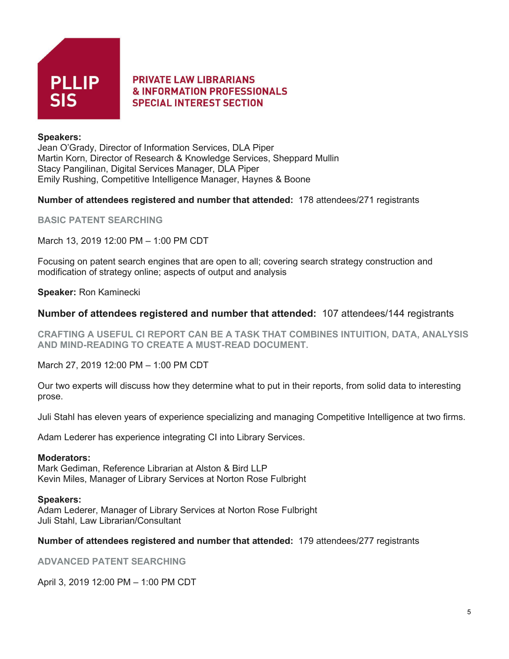

## **Speakers:**

Jean O'Grady, Director of Information Services, DLA Piper Martin Korn, Director of Research & Knowledge Services, Sheppard Mullin Stacy Pangilinan, Digital Services Manager, DLA Piper Emily Rushing, Competitive Intelligence Manager, Haynes & Boone

### **Number of attendees registered and number that attended:** 178 attendees/271 registrants

**BASIC PATENT SEARCHING**

March 13, 2019 12:00 PM – 1:00 PM CDT

Focusing on patent search engines that are open to all; covering search strategy construction and modification of strategy online; aspects of output and analysis

**Speaker:** Ron Kaminecki

## **Number of attendees registered and number that attended:** 107 attendees/144 registrants

**CRAFTING A USEFUL CI REPORT CAN BE A TASK THAT COMBINES INTUITION, DATA, ANALYSIS AND MIND-READING TO CREATE A MUST-READ DOCUMENT.**

March 27, 2019 12:00 PM – 1:00 PM CDT

Our two experts will discuss how they determine what to put in their reports, from solid data to interesting prose.

Juli Stahl has eleven years of experience specializing and managing Competitive Intelligence at two firms.

Adam Lederer has experience integrating CI into Library Services.

#### **Moderators:**

Mark Gediman, Reference Librarian at Alston & Bird LLP Kevin Miles, Manager of Library Services at Norton Rose Fulbright

#### **Speakers:**

Adam Lederer, Manager of Library Services at Norton Rose Fulbright Juli Stahl, Law Librarian/Consultant

#### **Number of attendees registered and number that attended:** 179 attendees/277 registrants

**ADVANCED PATENT SEARCHING**

April 3, 2019 12:00 PM – 1:00 PM CDT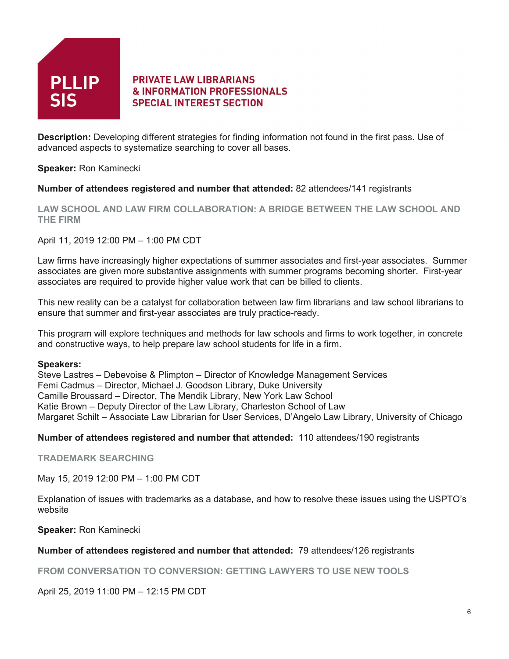

**Description:** Developing different strategies for finding information not found in the first pass. Use of advanced aspects to systematize searching to cover all bases.

**Speaker:** Ron Kaminecki

## **Number of attendees registered and number that attended:** 82 attendees/141 registrants

**LAW SCHOOL AND LAW FIRM COLLABORATION: A BRIDGE BETWEEN THE LAW SCHOOL AND THE FIRM**

April 11, 2019 12:00 PM – 1:00 PM CDT

Law firms have increasingly higher expectations of summer associates and first-year associates. Summer associates are given more substantive assignments with summer programs becoming shorter. First-year associates are required to provide higher value work that can be billed to clients.

This new reality can be a catalyst for collaboration between law firm librarians and law school librarians to ensure that summer and first-year associates are truly practice-ready.

This program will explore techniques and methods for law schools and firms to work together, in concrete and constructive ways, to help prepare law school students for life in a firm.

#### **Speakers:**

Steve Lastres – Debevoise & Plimpton – Director of Knowledge Management Services Femi Cadmus – Director, Michael J. Goodson Library, Duke University Camille Broussard – Director, The Mendik Library, New York Law School Katie Brown – Deputy Director of the Law Library, Charleston School of Law Margaret Schilt – Associate Law Librarian for User Services, D'Angelo Law Library, University of Chicago

## **Number of attendees registered and number that attended:** 110 attendees/190 registrants

**TRADEMARK SEARCHING**

May 15, 2019 12:00 PM – 1:00 PM CDT

Explanation of issues with trademarks as a database, and how to resolve these issues using the USPTO's website

**Speaker:** Ron Kaminecki

## **Number of attendees registered and number that attended:** 79 attendees/126 registrants

**FROM CONVERSATION TO CONVERSION: GETTING LAWYERS TO USE NEW TOOLS**

April 25, 2019 11:00 PM – 12:15 PM CDT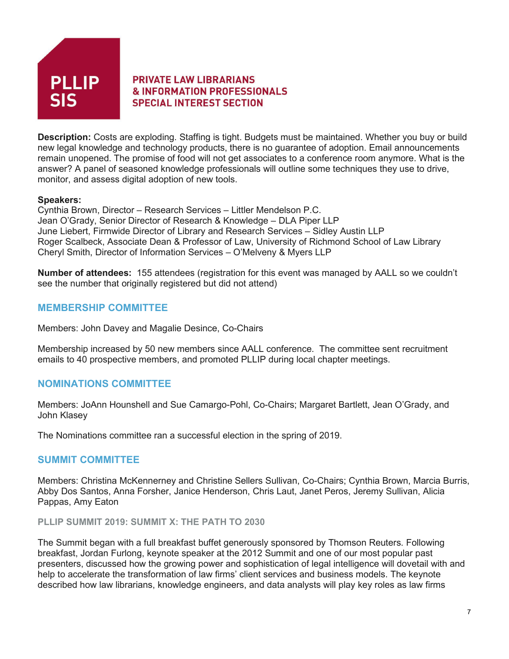

**Description:** Costs are exploding. Staffing is tight. Budgets must be maintained. Whether you buy or build new legal knowledge and technology products, there is no guarantee of adoption. Email announcements remain unopened. The promise of food will not get associates to a conference room anymore. What is the answer? A panel of seasoned knowledge professionals will outline some techniques they use to drive, monitor, and assess digital adoption of new tools.

## **Speakers:**

Cynthia Brown, Director – Research Services – Littler Mendelson P.C. Jean O'Grady, Senior Director of Research & Knowledge – DLA Piper LLP June Liebert, Firmwide Director of Library and Research Services – Sidley Austin LLP Roger Scalbeck, Associate Dean & Professor of Law, University of Richmond School of Law Library Cheryl Smith, Director of Information Services – O'Melveny & Myers LLP

**Number of attendees:** 155 attendees (registration for this event was managed by AALL so we couldn't see the number that originally registered but did not attend)

# **MEMBERSHIP COMMITTEE**

Members: John Davey and Magalie Desince, Co-Chairs

Membership increased by 50 new members since AALL conference. The committee sent recruitment emails to 40 prospective members, and promoted PLLIP during local chapter meetings.

# **NOMINATIONS COMMITTEE**

Members: JoAnn Hounshell and Sue Camargo-Pohl, Co-Chairs; Margaret Bartlett, Jean O'Grady, and John Klasey

The Nominations committee ran a successful election in the spring of 2019.

## **SUMMIT COMMITTEE**

Members: Christina McKennerney and Christine Sellers Sullivan, Co-Chairs; Cynthia Brown, Marcia Burris, Abby Dos Santos, Anna Forsher, Janice Henderson, Chris Laut, Janet Peros, Jeremy Sullivan, Alicia Pappas, Amy Eaton

### **PLLIP SUMMIT 2019: SUMMIT X: THE PATH TO 2030**

The Summit began with a full breakfast buffet generously sponsored by Thomson Reuters. Following breakfast, Jordan Furlong, keynote speaker at the 2012 Summit and one of our most popular past presenters, discussed how the growing power and sophistication of legal intelligence will dovetail with and help to accelerate the transformation of law firms' client services and business models. The keynote described how law librarians, knowledge engineers, and data analysts will play key roles as law firms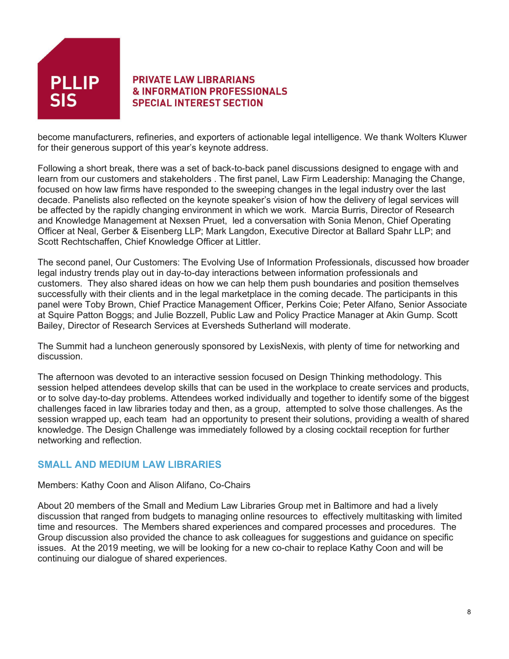

become manufacturers, refineries, and exporters of actionable legal intelligence. We thank Wolters Kluwer for their generous support of this year's keynote address.

Following a short break, there was a set of back-to-back panel discussions designed to engage with and learn from our customers and stakeholders . The first panel, Law Firm Leadership: Managing the Change, focused on how law firms have responded to the sweeping changes in the legal industry over the last decade. Panelists also reflected on the keynote speaker's vision of how the delivery of legal services will be affected by the rapidly changing environment in which we work. Marcia Burris, Director of Research and Knowledge Management at Nexsen Pruet, led a conversation with Sonia Menon, Chief Operating Officer at Neal, Gerber & Eisenberg LLP; Mark Langdon, Executive Director at Ballard Spahr LLP; and Scott Rechtschaffen, Chief Knowledge Officer at Littler.

The second panel, Our Customers: The Evolving Use of Information Professionals, discussed how broader legal industry trends play out in day-to-day interactions between information professionals and customers. They also shared ideas on how we can help them push boundaries and position themselves successfully with their clients and in the legal marketplace in the coming decade. The participants in this panel were Toby Brown, Chief Practice Management Officer, Perkins Coie; Peter Alfano, Senior Associate at Squire Patton Boggs; and Julie Bozzell, Public Law and Policy Practice Manager at Akin Gump. Scott Bailey, Director of Research Services at Eversheds Sutherland will moderate.

The Summit had a luncheon generously sponsored by LexisNexis, with plenty of time for networking and discussion.

The afternoon was devoted to an interactive session focused on Design Thinking methodology. This session helped attendees develop skills that can be used in the workplace to create services and products, or to solve day-to-day problems. Attendees worked individually and together to identify some of the biggest challenges faced in law libraries today and then, as a group, attempted to solve those challenges. As the session wrapped up, each team had an opportunity to present their solutions, providing a wealth of shared knowledge. The Design Challenge was immediately followed by a closing cocktail reception for further networking and reflection.

## **SMALL AND MEDIUM LAW LIBRARIES**

#### Members: Kathy Coon and Alison Alifano, Co-Chairs

About 20 members of the Small and Medium Law Libraries Group met in Baltimore and had a lively discussion that ranged from budgets to managing online resources to effectively multitasking with limited time and resources. The Members shared experiences and compared processes and procedures. The Group discussion also provided the chance to ask colleagues for suggestions and guidance on specific issues. At the 2019 meeting, we will be looking for a new co-chair to replace Kathy Coon and will be continuing our dialogue of shared experiences.